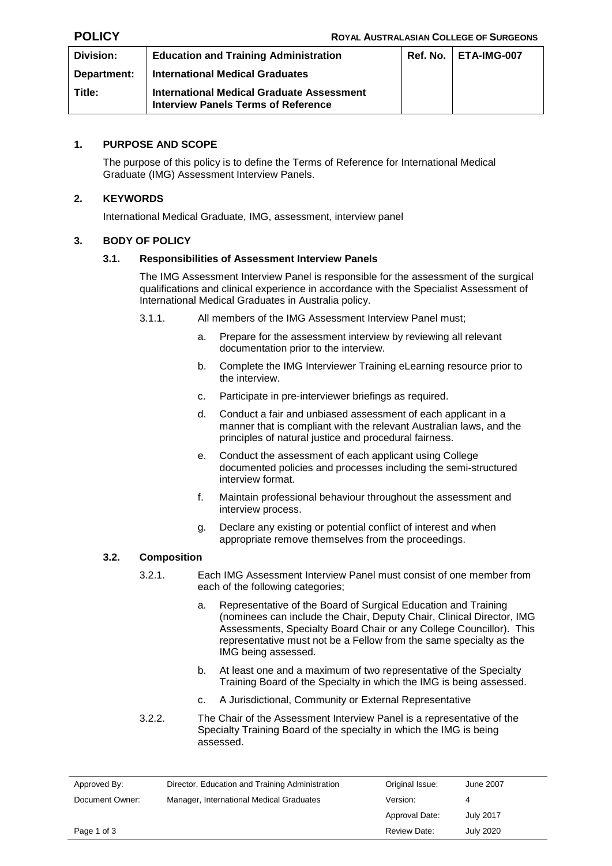| Division:   | <b>Education and Training Administration</b>                                            | Ref. No. | ETA-IMG-007 |
|-------------|-----------------------------------------------------------------------------------------|----------|-------------|
| Department: | International Medical Graduates                                                         |          |             |
| Title:      | <b>International Medical Graduate Assessment</b><br>Interview Panels Terms of Reference |          |             |

# **1. PURPOSE AND SCOPE**

The purpose of this policy is to define the Terms of Reference for International Medical Graduate (IMG) Assessment Interview Panels.

### **2. KEYWORDS**

International Medical Graduate, IMG, assessment, interview panel

## **3. BODY OF POLICY**

## **3.1. Responsibilities of Assessment Interview Panels**

The IMG Assessment Interview Panel is responsible for the assessment of the surgical qualifications and clinical experience in accordance with the Specialist Assessment of International Medical Graduates in Australia policy.

- 3.1.1. All members of the IMG Assessment Interview Panel must;
	- a. Prepare for the assessment interview by reviewing all relevant documentation prior to the interview.
	- b. Complete the IMG Interviewer Training eLearning resource prior to the interview.
	- c. Participate in pre-interviewer briefings as required.
	- d. Conduct a fair and unbiased assessment of each applicant in a manner that is compliant with the relevant Australian laws, and the principles of natural justice and procedural fairness.
	- e. Conduct the assessment of each applicant using College documented policies and processes including the semi-structured interview format.
	- f. Maintain professional behaviour throughout the assessment and interview process.
	- g. Declare any existing or potential conflict of interest and when appropriate remove themselves from the proceedings.

# <span id="page-0-0"></span>**3.2. Composition**

- 3.2.1. Each IMG Assessment Interview Panel must consist of one member from each of the following categories;
	- a. Representative of the Board of Surgical Education and Training (nominees can include the Chair, Deputy Chair, Clinical Director, IMG Assessments, Specialty Board Chair or any College Councillor). This representative must not be a Fellow from the same specialty as the IMG being assessed.
	- b. At least one and a maximum of two representative of the Specialty Training Board of the Specialty in which the IMG is being assessed.
	- c. A Jurisdictional, Community or External Representative
- 3.2.2. The Chair of the Assessment Interview Panel is a representative of the Specialty Training Board of the specialty in which the IMG is being assessed.

| Approved By:    | Director, Education and Training Administration | Original Issue:     | June 2007        |
|-----------------|-------------------------------------------------|---------------------|------------------|
| Document Owner: | Manager, International Medical Graduates        | Version:            |                  |
|                 |                                                 | Approval Date:      | <b>July 2017</b> |
| Page 1 of 3     |                                                 | <b>Review Date:</b> | <b>July 2020</b> |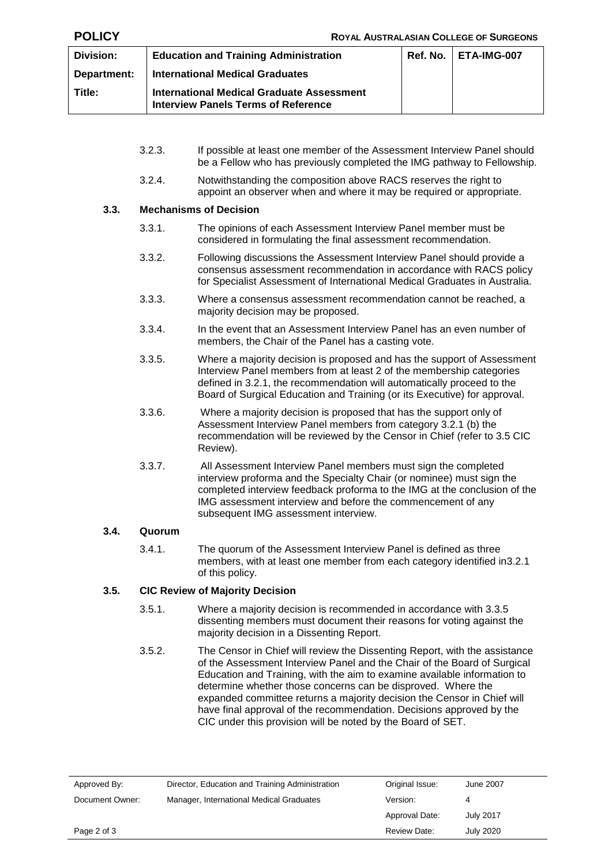| Division:   | <b>Education and Training Administration</b>                                            | $Ref. No.$ $ETA-IMG-007$ |
|-------------|-----------------------------------------------------------------------------------------|--------------------------|
| Department: | <b>International Medical Graduates</b>                                                  |                          |
| Title:      | <b>International Medical Graduate Assessment</b><br>Interview Panels Terms of Reference |                          |

- 3.2.3. If possible at least one member of the Assessment Interview Panel should be a Fellow who has previously completed the IMG pathway to Fellowship.
- 3.2.4. Notwithstanding the composition above RACS reserves the right to appoint an observer when and where it may be required or appropriate.

#### **3.3. Mechanisms of Decision**

- 3.3.1. The opinions of each Assessment Interview Panel member must be considered in formulating the final assessment recommendation.
- 3.3.2. Following discussions the Assessment Interview Panel should provide a consensus assessment recommendation in accordance with RACS policy for Specialist Assessment of International Medical Graduates in Australia.
- 3.3.3. Where a consensus assessment recommendation cannot be reached, a majority decision may be proposed.
- 3.3.4. In the event that an Assessment Interview Panel has an even number of members, the Chair of the Panel has a casting vote.
- <span id="page-1-1"></span>3.3.5. Where a majority decision is proposed and has the support of Assessment Interview Panel members from at least 2 of the membership categories defined in [3.2.1,](#page-0-0) the recommendation will automatically proceed to the Board of Surgical Education and Training (or its Executive) for approval.
- 3.3.6. Where a majority decision is proposed that has the support only of Assessment Interview Panel members from category [3.2.1](#page-0-0) (b) the recommendation will be reviewed by the Censor in Chief (refer to [3.5](#page-1-0) CIC Review).
- 3.3.7. All Assessment Interview Panel members must sign the completed interview proforma and the Specialty Chair (or nominee) must sign the completed interview feedback proforma to the IMG at the conclusion of the IMG assessment interview and before the commencement of any subsequent IMG assessment interview.

#### **3.4. Quorum**

3.4.1. The quorum of the Assessment Interview Panel is defined as three members, with at least one member from each category identified i[n3.2.1](#page-0-0) of this policy.

#### <span id="page-1-0"></span>**3.5. CIC Review of Majority Decision**

- 3.5.1. Where a majority decision is recommended in accordance with [3.3.5](#page-1-1) dissenting members must document their reasons for voting against the majority decision in a Dissenting Report.
- 3.5.2. The Censor in Chief will review the Dissenting Report, with the assistance of the Assessment Interview Panel and the Chair of the Board of Surgical Education and Training, with the aim to examine available information to determine whether those concerns can be disproved. Where the expanded committee returns a majority decision the Censor in Chief will have final approval of the recommendation. Decisions approved by the CIC under this provision will be noted by the Board of SET.

| Approved By:    | Director, Education and Training Administration | Original Issue:     | June 2007        |
|-----------------|-------------------------------------------------|---------------------|------------------|
| Document Owner: | Manager, International Medical Graduates        | Version:            |                  |
|                 |                                                 | Approval Date:      | <b>July 2017</b> |
| Page 2 of 3     |                                                 | <b>Review Date:</b> | <b>July 2020</b> |